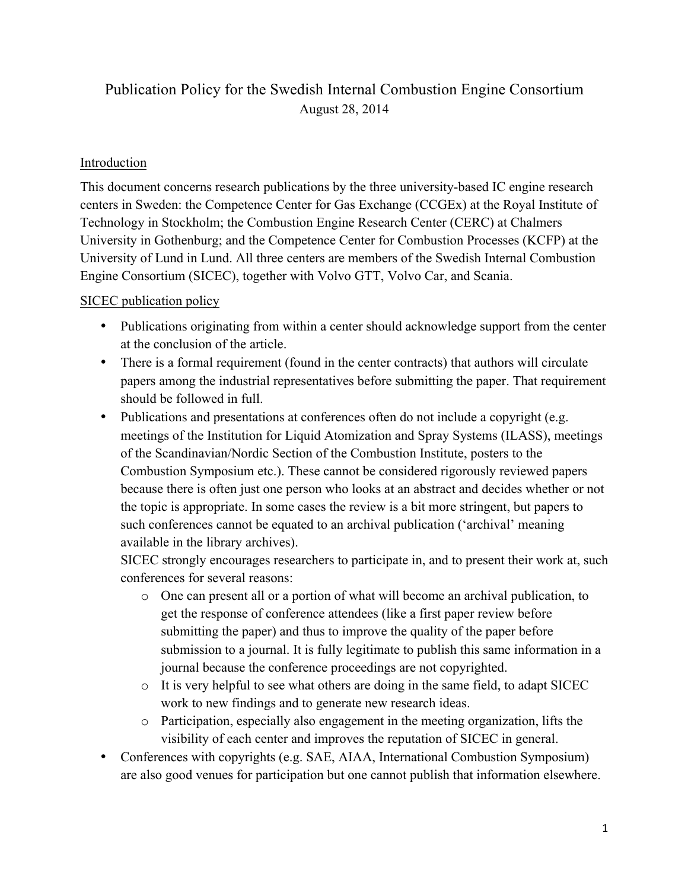# Publication Policy for the Swedish Internal Combustion Engine Consortium August 28, 2014

## Introduction

This document concerns research publications by the three university-based IC engine research centers in Sweden: the Competence Center for Gas Exchange (CCGEx) at the Royal Institute of Technology in Stockholm; the Combustion Engine Research Center (CERC) at Chalmers University in Gothenburg; and the Competence Center for Combustion Processes (KCFP) at the University of Lund in Lund. All three centers are members of the Swedish Internal Combustion Engine Consortium (SICEC), together with Volvo GTT, Volvo Car, and Scania.

# SICEC publication policy

- Publications originating from within a center should acknowledge support from the center at the conclusion of the article.
- There is a formal requirement (found in the center contracts) that authors will circulate papers among the industrial representatives before submitting the paper. That requirement should be followed in full.
- Publications and presentations at conferences often do not include a copyright (e.g. meetings of the Institution for Liquid Atomization and Spray Systems (ILASS), meetings of the Scandinavian/Nordic Section of the Combustion Institute, posters to the Combustion Symposium etc.). These cannot be considered rigorously reviewed papers because there is often just one person who looks at an abstract and decides whether or not the topic is appropriate. In some cases the review is a bit more stringent, but papers to such conferences cannot be equated to an archival publication ('archival' meaning available in the library archives).

SICEC strongly encourages researchers to participate in, and to present their work at, such conferences for several reasons:

- o One can present all or a portion of what will become an archival publication, to get the response of conference attendees (like a first paper review before submitting the paper) and thus to improve the quality of the paper before submission to a journal. It is fully legitimate to publish this same information in a journal because the conference proceedings are not copyrighted.
- o It is very helpful to see what others are doing in the same field, to adapt SICEC work to new findings and to generate new research ideas.
- o Participation, especially also engagement in the meeting organization, lifts the visibility of each center and improves the reputation of SICEC in general.
- Conferences with copyrights (e.g. SAE, AIAA, International Combustion Symposium) are also good venues for participation but one cannot publish that information elsewhere.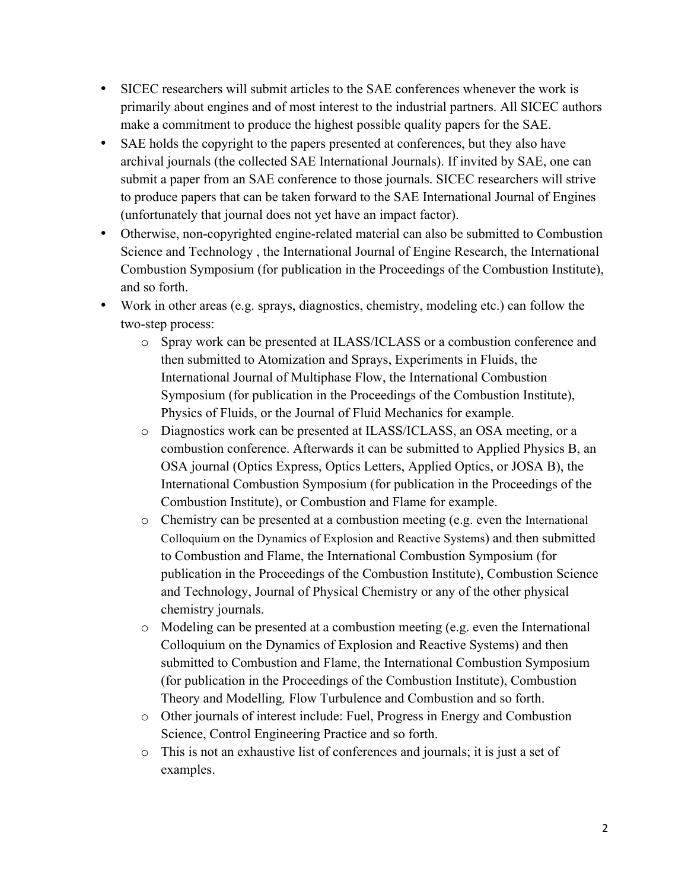- SICEC researchers will submit articles to the SAE conferences whenever the work is primarily about engines and of most interest to the industrial partners. All SICEC authors make a commitment to produce the highest possible quality papers for the SAE.
- SAE holds the copyright to the papers presented at conferences, but they also have archival journals (the collected SAE International Journals). If invited by SAE, one can submit a paper from an SAE conference to those journals. SICEC researchers will strive to produce papers that can be taken forward to the SAE International Journal of Engines (unfortunately that journal does not yet have an impact factor).
- Otherwise, non-copyrighted engine-related material can also be submitted to Combustion Science and Technology , the International Journal of Engine Research, the International Combustion Symposium (for publication in the Proceedings of the Combustion Institute), and so forth.
- Work in other areas (e.g. sprays, diagnostics, chemistry, modeling etc.) can follow the two-step process:
	- o Spray work can be presented at ILASS/ICLASS or a combustion conference and then submitted to Atomization and Sprays, Experiments in Fluids, the International Journal of Multiphase Flow, the International Combustion Symposium (for publication in the Proceedings of the Combustion Institute), Physics of Fluids, or the Journal of Fluid Mechanics for example.
	- o Diagnostics work can be presented at ILASS/ICLASS, an OSA meeting, or a combustion conference. Afterwards it can be submitted to Applied Physics B, an OSA journal (Optics Express, Optics Letters, Applied Optics, or JOSA B), the International Combustion Symposium (for publication in the Proceedings of the Combustion Institute), or Combustion and Flame for example.
	- o Chemistry can be presented at a combustion meeting (e.g. even the International Colloquium on the Dynamics of Explosion and Reactive Systems) and then submitted to Combustion and Flame, the International Combustion Symposium (for publication in the Proceedings of the Combustion Institute), Combustion Science and Technology, Journal of Physical Chemistry or any of the other physical chemistry journals.
	- o Modeling can be presented at a combustion meeting (e.g. even the International Colloquium on the Dynamics of Explosion and Reactive Systems) and then submitted to Combustion and Flame, the International Combustion Symposium (for publication in the Proceedings of the Combustion Institute), Combustion Theory and Modelling*,* Flow Turbulence and Combustion and so forth.
	- o Other journals of interest include: Fuel, Progress in Energy and Combustion Science, Control Engineering Practice and so forth.
	- o This is not an exhaustive list of conferences and journals; it is just a set of examples.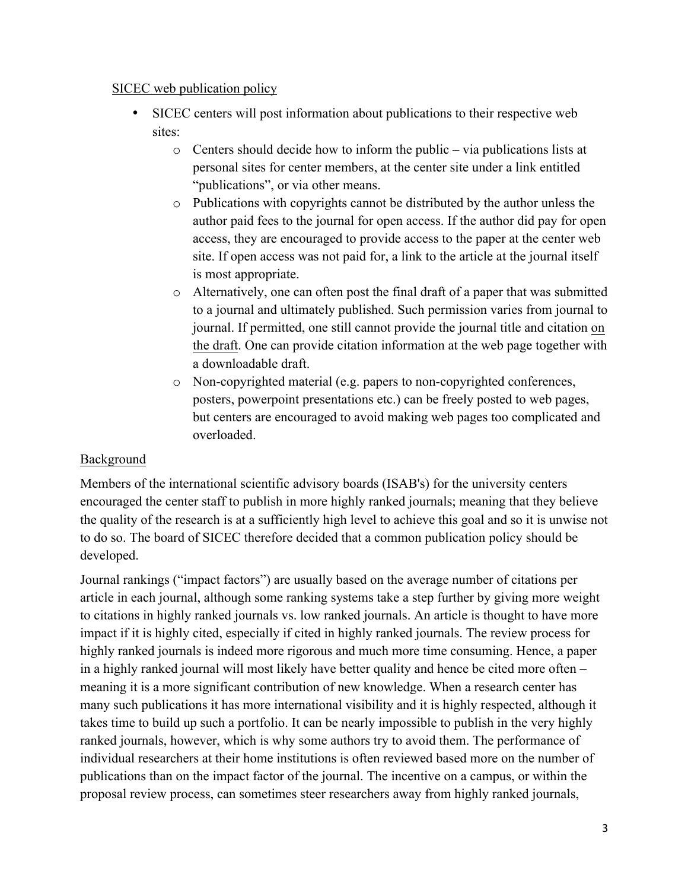#### SICEC web publication policy

- SICEC centers will post information about publications to their respective web sites:
	- o Centers should decide how to inform the public via publications lists at personal sites for center members, at the center site under a link entitled "publications", or via other means.
	- o Publications with copyrights cannot be distributed by the author unless the author paid fees to the journal for open access. If the author did pay for open access, they are encouraged to provide access to the paper at the center web site. If open access was not paid for, a link to the article at the journal itself is most appropriate.
	- o Alternatively, one can often post the final draft of a paper that was submitted to a journal and ultimately published. Such permission varies from journal to journal. If permitted, one still cannot provide the journal title and citation on the draft. One can provide citation information at the web page together with a downloadable draft.
	- o Non-copyrighted material (e.g. papers to non-copyrighted conferences, posters, powerpoint presentations etc.) can be freely posted to web pages, but centers are encouraged to avoid making web pages too complicated and overloaded.

#### Background

Members of the international scientific advisory boards (ISAB's) for the university centers encouraged the center staff to publish in more highly ranked journals; meaning that they believe the quality of the research is at a sufficiently high level to achieve this goal and so it is unwise not to do so. The board of SICEC therefore decided that a common publication policy should be developed.

Journal rankings ("impact factors") are usually based on the average number of citations per article in each journal, although some ranking systems take a step further by giving more weight to citations in highly ranked journals vs. low ranked journals. An article is thought to have more impact if it is highly cited, especially if cited in highly ranked journals. The review process for highly ranked journals is indeed more rigorous and much more time consuming. Hence, a paper in a highly ranked journal will most likely have better quality and hence be cited more often – meaning it is a more significant contribution of new knowledge. When a research center has many such publications it has more international visibility and it is highly respected, although it takes time to build up such a portfolio. It can be nearly impossible to publish in the very highly ranked journals, however, which is why some authors try to avoid them. The performance of individual researchers at their home institutions is often reviewed based more on the number of publications than on the impact factor of the journal. The incentive on a campus, or within the proposal review process, can sometimes steer researchers away from highly ranked journals,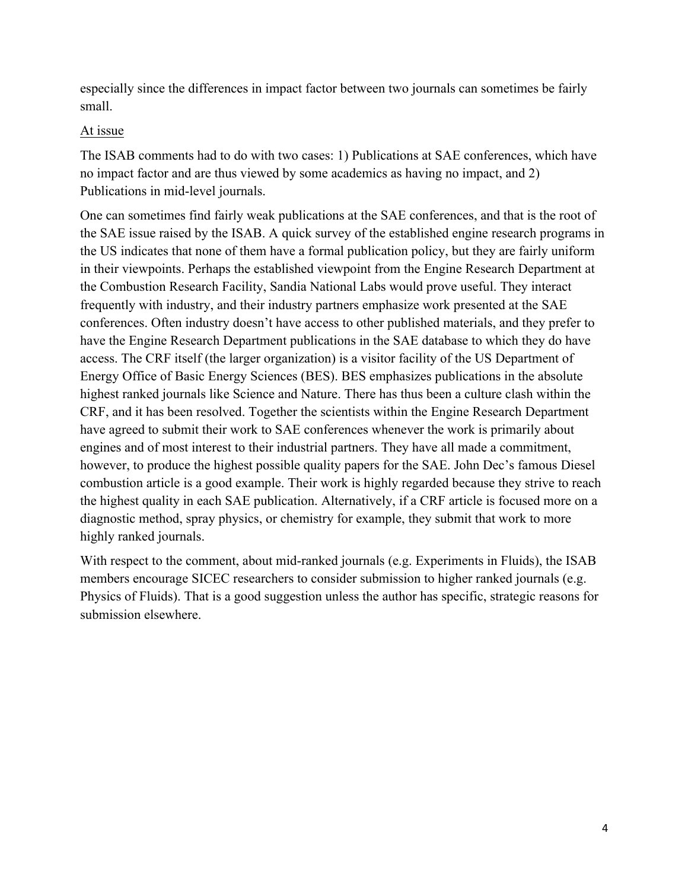especially since the differences in impact factor between two journals can sometimes be fairly small.

## At issue

The ISAB comments had to do with two cases: 1) Publications at SAE conferences, which have no impact factor and are thus viewed by some academics as having no impact, and 2) Publications in mid-level journals.

One can sometimes find fairly weak publications at the SAE conferences, and that is the root of the SAE issue raised by the ISAB. A quick survey of the established engine research programs in the US indicates that none of them have a formal publication policy, but they are fairly uniform in their viewpoints. Perhaps the established viewpoint from the Engine Research Department at the Combustion Research Facility, Sandia National Labs would prove useful. They interact frequently with industry, and their industry partners emphasize work presented at the SAE conferences. Often industry doesn't have access to other published materials, and they prefer to have the Engine Research Department publications in the SAE database to which they do have access. The CRF itself (the larger organization) is a visitor facility of the US Department of Energy Office of Basic Energy Sciences (BES). BES emphasizes publications in the absolute highest ranked journals like Science and Nature. There has thus been a culture clash within the CRF, and it has been resolved. Together the scientists within the Engine Research Department have agreed to submit their work to SAE conferences whenever the work is primarily about engines and of most interest to their industrial partners. They have all made a commitment, however, to produce the highest possible quality papers for the SAE. John Dec's famous Diesel combustion article is a good example. Their work is highly regarded because they strive to reach the highest quality in each SAE publication. Alternatively, if a CRF article is focused more on a diagnostic method, spray physics, or chemistry for example, they submit that work to more highly ranked journals.

With respect to the comment, about mid-ranked journals (e.g. Experiments in Fluids), the ISAB members encourage SICEC researchers to consider submission to higher ranked journals (e.g. Physics of Fluids). That is a good suggestion unless the author has specific, strategic reasons for submission elsewhere.